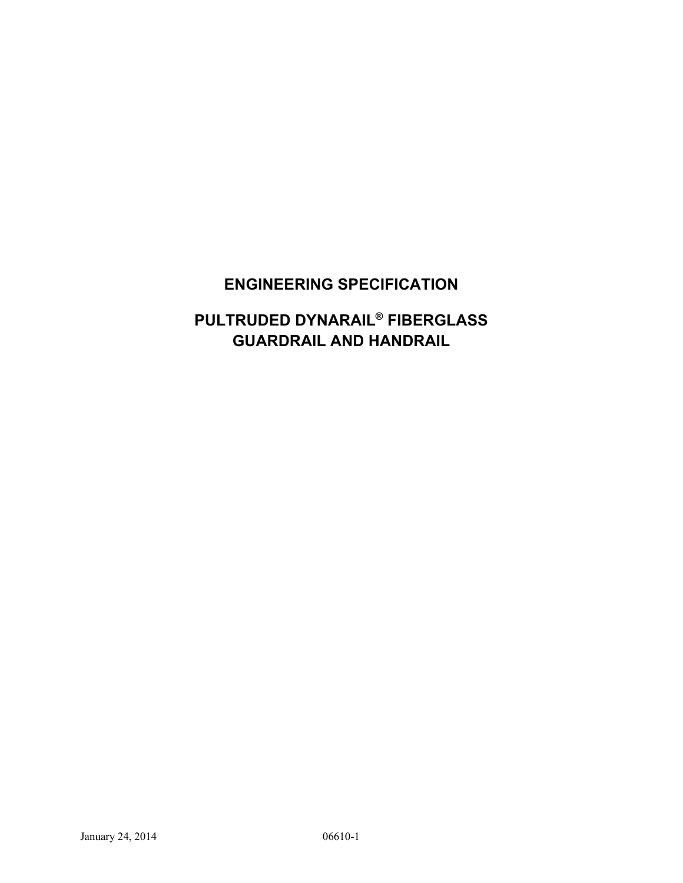# **ENGINEERING SPECIFICATION**

# **PULTRUDED DYNARAIL® FIBERGLASS GUARDRAIL AND HANDRAIL**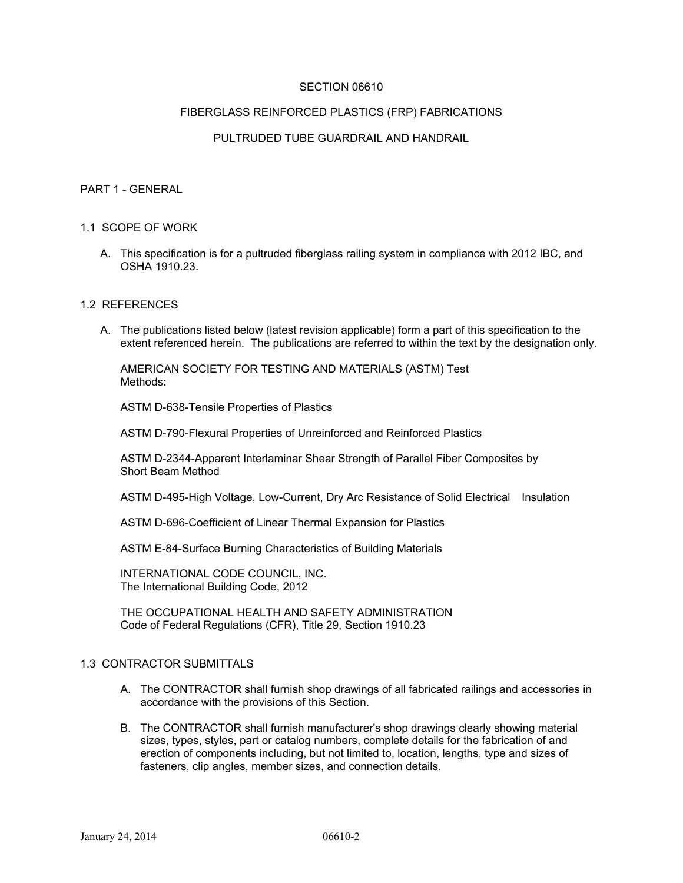#### SECTION 06610

#### FIBERGLASS REINFORCED PLASTICS (FRP) FABRICATIONS

## PULTRUDED TUBE GUARDRAIL AND HANDRAIL

#### PART 1 - GENERAL

#### 1.1 SCOPE OF WORK

A. This specification is for a pultruded fiberglass railing system in compliance with 2012 IBC, and OSHA 1910.23.

#### 1.2 REFERENCES

A. The publications listed below (latest revision applicable) form a part of this specification to the extent referenced herein. The publications are referred to within the text by the designation only.

 AMERICAN SOCIETY FOR TESTING AND MATERIALS (ASTM) Test Methods:

ASTM D-638-Tensile Properties of Plastics

ASTM D-790-Flexural Properties of Unreinforced and Reinforced Plastics

 ASTM D-2344-Apparent Interlaminar Shear Strength of Parallel Fiber Composites by Short Beam Method

ASTM D-495-High Voltage, Low-Current, Dry Arc Resistance of Solid Electrical Insulation

ASTM D-696-Coefficient of Linear Thermal Expansion for Plastics

ASTM E-84-Surface Burning Characteristics of Building Materials

 INTERNATIONAL CODE COUNCIL, INC. The International Building Code, 2012

 THE OCCUPATIONAL HEALTH AND SAFETY ADMINISTRATION Code of Federal Regulations (CFR), Title 29, Section 1910.23

### 1.3 CONTRACTOR SUBMITTALS

- A. The CONTRACTOR shall furnish shop drawings of all fabricated railings and accessories in accordance with the provisions of this Section.
- B. The CONTRACTOR shall furnish manufacturer's shop drawings clearly showing material sizes, types, styles, part or catalog numbers, complete details for the fabrication of and erection of components including, but not limited to, location, lengths, type and sizes of fasteners, clip angles, member sizes, and connection details.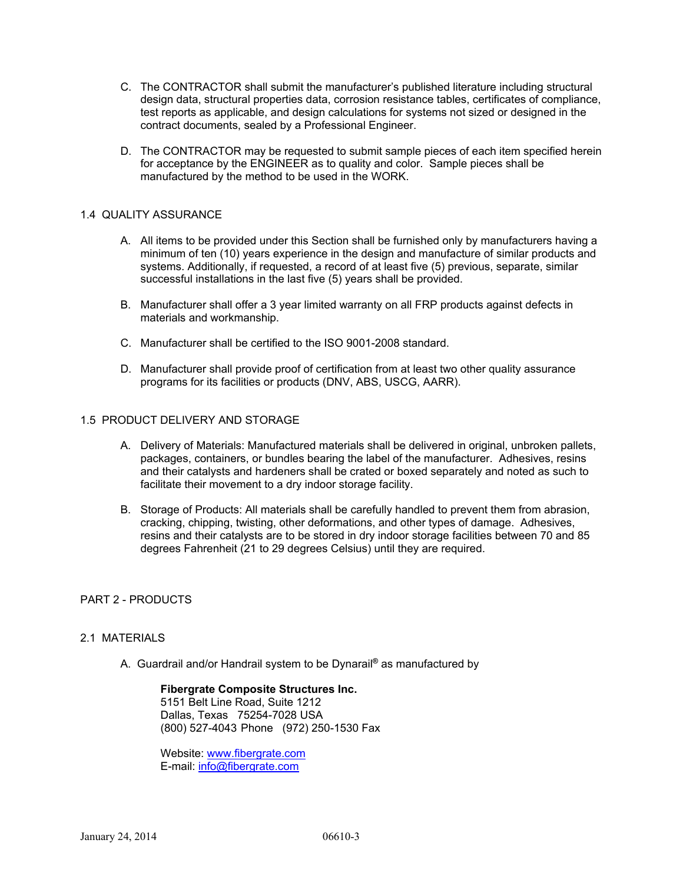- C. The CONTRACTOR shall submit the manufacturer's published literature including structural design data, structural properties data, corrosion resistance tables, certificates of compliance, test reports as applicable, and design calculations for systems not sized or designed in the contract documents, sealed by a Professional Engineer.
- D. The CONTRACTOR may be requested to submit sample pieces of each item specified herein for acceptance by the ENGINEER as to quality and color. Sample pieces shall be manufactured by the method to be used in the WORK.

### 1.4 QUALITY ASSURANCE

- A. All items to be provided under this Section shall be furnished only by manufacturers having a minimum of ten (10) years experience in the design and manufacture of similar products and systems. Additionally, if requested, a record of at least five (5) previous, separate, similar successful installations in the last five (5) years shall be provided.
- B. Manufacturer shall offer a 3 year limited warranty on all FRP products against defects in materials and workmanship.
- C. Manufacturer shall be certified to the ISO 9001-2008 standard.
- D. Manufacturer shall provide proof of certification from at least two other quality assurance programs for its facilities or products (DNV, ABS, USCG, AARR).

## 1.5 PRODUCT DELIVERY AND STORAGE

- A. Delivery of Materials: Manufactured materials shall be delivered in original, unbroken pallets, packages, containers, or bundles bearing the label of the manufacturer. Adhesives, resins and their catalysts and hardeners shall be crated or boxed separately and noted as such to facilitate their movement to a dry indoor storage facility.
- B. Storage of Products: All materials shall be carefully handled to prevent them from abrasion, cracking, chipping, twisting, other deformations, and other types of damage. Adhesives, resins and their catalysts are to be stored in dry indoor storage facilities between 70 and 85 degrees Fahrenheit (21 to 29 degrees Celsius) until they are required.

#### PART 2 - PRODUCTS

#### 2.1 MATERIALS

A. Guardrail and/or Handrail system to be Dynarail**®** as manufactured by

 **Fibergrate Composite Structures Inc.** 5151 Belt Line Road, Suite 1212 Dallas, Texas 75254-7028 USA (800) 527-4043 Phone (972) 250-1530 Fax

Website: www.fibergrate.com E-mail: info@fibergrate.com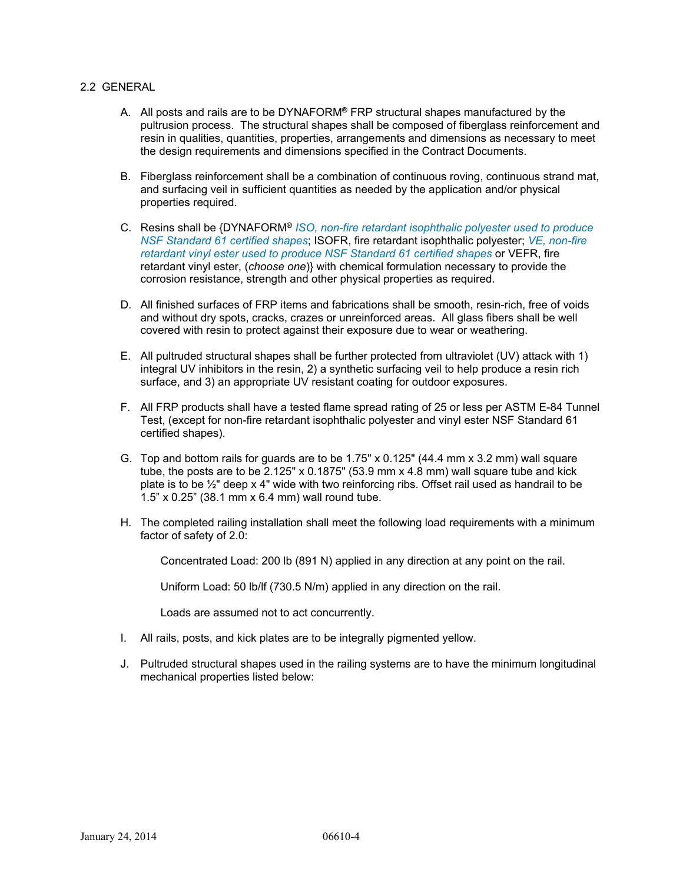#### 2.2 GENERAL

- A. All posts and rails are to be DYNAFORM**®** FRP structural shapes manufactured by the pultrusion process. The structural shapes shall be composed of fiberglass reinforcement and resin in qualities, quantities, properties, arrangements and dimensions as necessary to meet the design requirements and dimensions specified in the Contract Documents.
- B. Fiberglass reinforcement shall be a combination of continuous roving, continuous strand mat, and surfacing veil in sufficient quantities as needed by the application and/or physical properties required.
- C. Resins shall be {DYNAFORM**®** *ISO, non-fire retardant isophthalic polyester used to produce NSF Standard 61 certified shapes*; ISOFR, fire retardant isophthalic polyester; *VE, non-fire retardant vinyl ester used to produce NSF Standard 61 certified shapes* or VEFR, fire retardant vinyl ester, (*choose one*)} with chemical formulation necessary to provide the corrosion resistance, strength and other physical properties as required.
- D. All finished surfaces of FRP items and fabrications shall be smooth, resin-rich, free of voids and without dry spots, cracks, crazes or unreinforced areas. All glass fibers shall be well covered with resin to protect against their exposure due to wear or weathering.
- E. All pultruded structural shapes shall be further protected from ultraviolet (UV) attack with 1) integral UV inhibitors in the resin, 2) a synthetic surfacing veil to help produce a resin rich surface, and 3) an appropriate UV resistant coating for outdoor exposures.
- F. All FRP products shall have a tested flame spread rating of 25 or less per ASTM E-84 Tunnel Test, (except for non-fire retardant isophthalic polyester and vinyl ester NSF Standard 61 certified shapes).
- G. Top and bottom rails for guards are to be 1.75" x 0.125" (44.4 mm x 3.2 mm) wall square tube, the posts are to be  $2.125" \times 0.1875"$  (53.9 mm  $\times$  4.8 mm) wall square tube and kick plate is to be ½" deep x 4" wide with two reinforcing ribs. Offset rail used as handrail to be 1.5" x 0.25" (38.1 mm x 6.4 mm) wall round tube.
- H. The completed railing installation shall meet the following load requirements with a minimum factor of safety of 2.0:

Concentrated Load: 200 lb (891 N) applied in any direction at any point on the rail.

Uniform Load: 50 lb/lf (730.5 N/m) applied in any direction on the rail.

Loads are assumed not to act concurrently.

- I. All rails, posts, and kick plates are to be integrally pigmented yellow.
- J. Pultruded structural shapes used in the railing systems are to have the minimum longitudinal mechanical properties listed below: